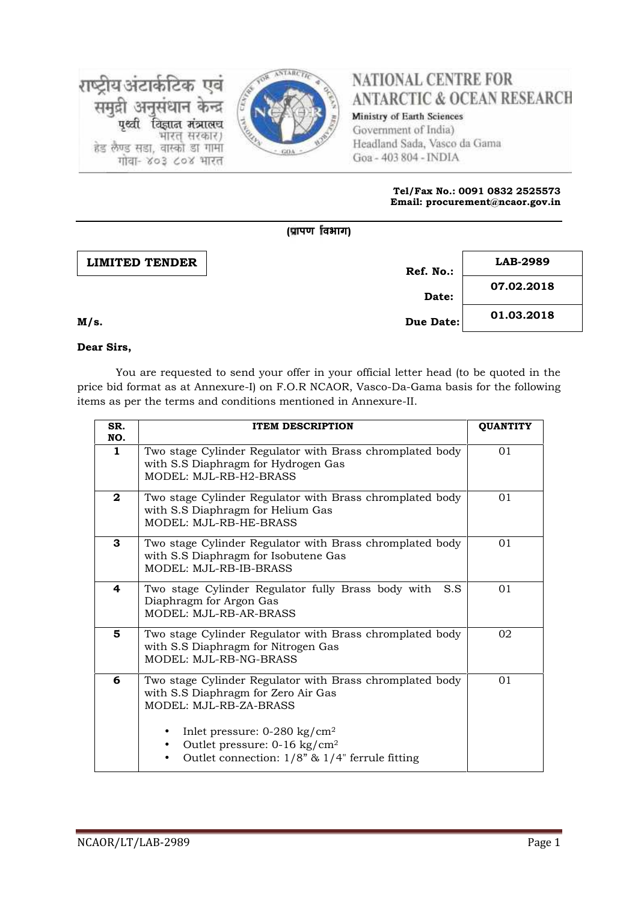

# **NATIONAL CENTRE FOR ANTARCTIC & OCEAN RESEARCH**

Ministry of Earth Sciences Government of India) Headland Sada, Vasco da Gama Goa - 403 804 - INDIA

#### **Tel/Fax No.: 0091 0832 2525573 Email: procurement@ncaor.gov.in**

|                       | (प्रापण विभाग) |           |                 |
|-----------------------|----------------|-----------|-----------------|
| <b>LIMITED TENDER</b> |                | Ref. No.: | <b>LAB-2989</b> |
|                       |                | Date:     | 07.02.2018      |
| M/s.                  |                | Due Date: | 01.03.2018      |

# **Dear Sirs,**

राष्ट्रीय अंटार्कटिक एवं

पर्थ्वी

समुद्री अनुसंधान केन्द्र

हेड लैण्ड सडा, वास्को डा गामा

गोवा- ४०३ ८०४ भारत

विज्ञान मंत्रालय

भारत सरकार)

You are requested to send your offer in your official letter head (to be quoted in the price bid format as at Annexure-I) on F.O.R NCAOR, Vasco-Da-Gama basis for the following items as per the terms and conditions mentioned in Annexure-II.

| SR.<br>NO.   | <b>ITEM DESCRIPTION</b>                                                                                                                          | <b>OUANTITY</b> |
|--------------|--------------------------------------------------------------------------------------------------------------------------------------------------|-----------------|
| $\mathbf{1}$ | Two stage Cylinder Regulator with Brass chromplated body<br>with S.S Diaphragm for Hydrogen Gas<br>MODEL: MJL-RB-H2-BRASS                        | 01              |
| $\mathbf{2}$ | Two stage Cylinder Regulator with Brass chromplated body<br>with S.S Diaphragm for Helium Gas<br>MODEL: MJL-RB-HE-BRASS                          | 01              |
| 3            | Two stage Cylinder Regulator with Brass chromplated body<br>with S.S Diaphragm for Isobutene Gas<br>MODEL: MJL-RB-IB-BRASS                       | 01              |
| 4            | Two stage Cylinder Regulator fully Brass body with<br>S.S<br>Diaphragm for Argon Gas<br><b>MODEL: MJL-RB-AR-BRASS</b>                            | 01              |
| 5            | Two stage Cylinder Regulator with Brass chromplated body<br>with S.S Diaphragm for Nitrogen Gas<br>MODEL: MJL-RB-NG-BRASS                        | 02              |
| 6            | Two stage Cylinder Regulator with Brass chromplated body<br>with S.S Diaphragm for Zero Air Gas<br><b>MODEL: MJL-RB-ZA-BRASS</b>                 | 01              |
|              | Inlet pressure: $0-280$ kg/cm <sup>2</sup><br>Outlet pressure: $0-16$ kg/cm <sup>2</sup><br>Outlet connection: $1/8$ " & $1/4$ " ferrule fitting |                 |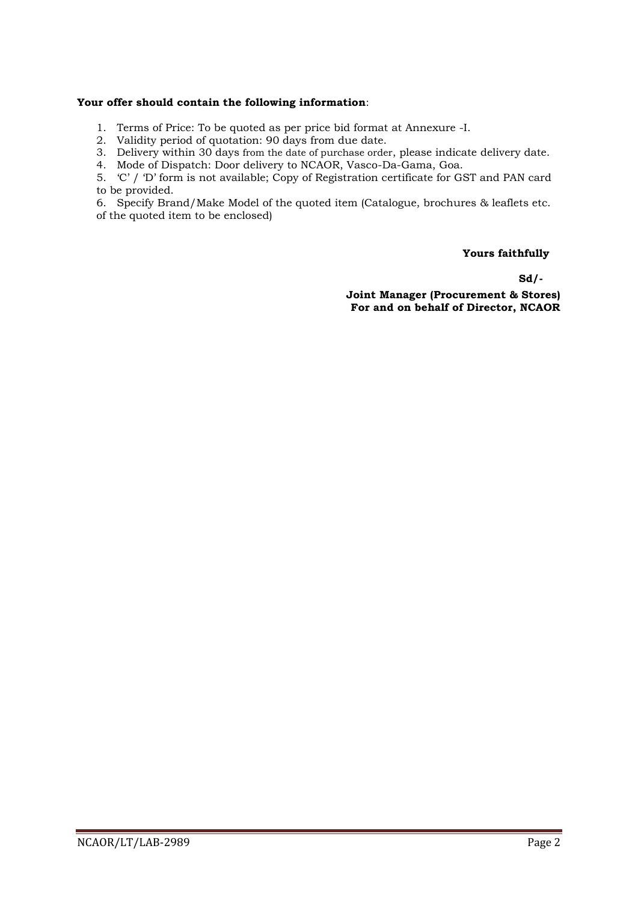## **Your offer should contain the following information**:

1. Terms of Price: To be quoted as per price bid format at Annexure -I.2. Validity period of quotation: 90 days from due date.

3. Delivery within 30 days from the date of purchase order, please indicate delivery date.

4. Mode of Dispatch: Door delivery to NCAOR, Vasco-Da-Gama, Goa.

5. 'C' / 'D' form is not available; Copy of Registration certificate for GST and PAN card to be provided.

6. Specify Brand/Make Model of the quoted item (Catalogue, brochures & leaflets etc. of the quoted item to be enclosed)

## **Yours faithfully**

**Sd/- Joint Manager (Procurement & Stores) For and on behalf of Director, NCAOR**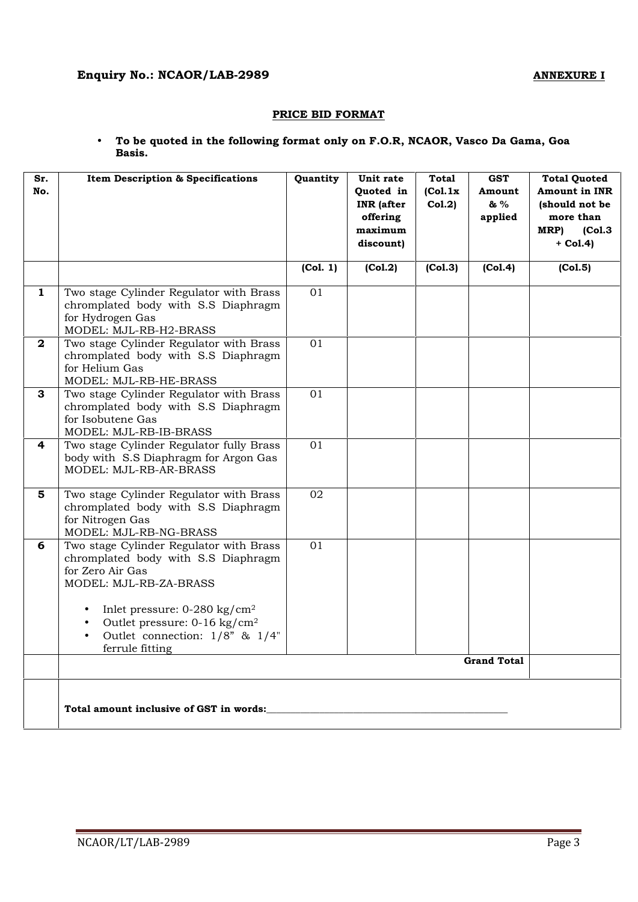# **Enquiry No.: NCAOR/LAB-2989 ANNEXURE I**

## **PRICE BID FORMAT**

# **To be quoted in the following format only on F.O.R, NCAOR, Vasco Da Gama, Goa Basis.**

| Sr.<br>No.   | <b>Item Description &amp; Specifications</b>                                                                                                               | Quantity | Unit rate<br><b>Ouoted</b> in<br><b>INR</b> (after<br>offering<br>maximum<br>discount) | <b>Total</b><br>(Col.1x)<br>Col.2) | <b>GST</b><br>Amount<br>& %<br>applied | <b>Total Quoted</b><br><b>Amount in INR</b><br>(should not be<br>more than<br>(Col.3)<br>MRP)<br>$+$ Col.4) |
|--------------|------------------------------------------------------------------------------------------------------------------------------------------------------------|----------|----------------------------------------------------------------------------------------|------------------------------------|----------------------------------------|-------------------------------------------------------------------------------------------------------------|
|              |                                                                                                                                                            | (Col. 1) | (Col.2)                                                                                | (Col.3)                            | (Col.4)                                | (Col.5)                                                                                                     |
| $\mathbf{1}$ | Two stage Cylinder Regulator with Brass<br>chromplated body with S.S Diaphragm<br>for Hydrogen Gas<br>MODEL: MJL-RB-H2-BRASS                               | 01       |                                                                                        |                                    |                                        |                                                                                                             |
| $\mathbf{2}$ | Two stage Cylinder Regulator with Brass<br>chromplated body with S.S Diaphragm<br>for Helium Gas<br>MODEL: MJL-RB-HE-BRASS                                 | 01       |                                                                                        |                                    |                                        |                                                                                                             |
| 3            | Two stage Cylinder Regulator with Brass<br>chromplated body with S.S Diaphragm<br>for Isobutene Gas<br>MODEL: MJL-RB-IB-BRASS                              | 01       |                                                                                        |                                    |                                        |                                                                                                             |
| 4            | Two stage Cylinder Regulator fully Brass<br>body with S.S Diaphragm for Argon Gas<br>MODEL: MJL-RB-AR-BRASS                                                | 01       |                                                                                        |                                    |                                        |                                                                                                             |
| 5            | Two stage Cylinder Regulator with Brass<br>chromplated body with S.S Diaphragm<br>for Nitrogen Gas<br>MODEL: MJL-RB-NG-BRASS                               | 02       |                                                                                        |                                    |                                        |                                                                                                             |
| 6            | Two stage Cylinder Regulator with Brass<br>chromplated body with S.S Diaphragm<br>for Zero Air Gas<br>MODEL: MJL-RB-ZA-BRASS                               | 01       |                                                                                        |                                    |                                        |                                                                                                             |
|              | Inlet pressure: 0-280 kg/cm <sup>2</sup><br>$\bullet$<br>Outlet pressure: $0-16 \text{ kg/cm}^2$<br>٠<br>Outlet connection: 1/8" & 1/4"<br>ferrule fitting |          |                                                                                        |                                    |                                        |                                                                                                             |
|              |                                                                                                                                                            |          |                                                                                        |                                    | <b>Grand Total</b>                     |                                                                                                             |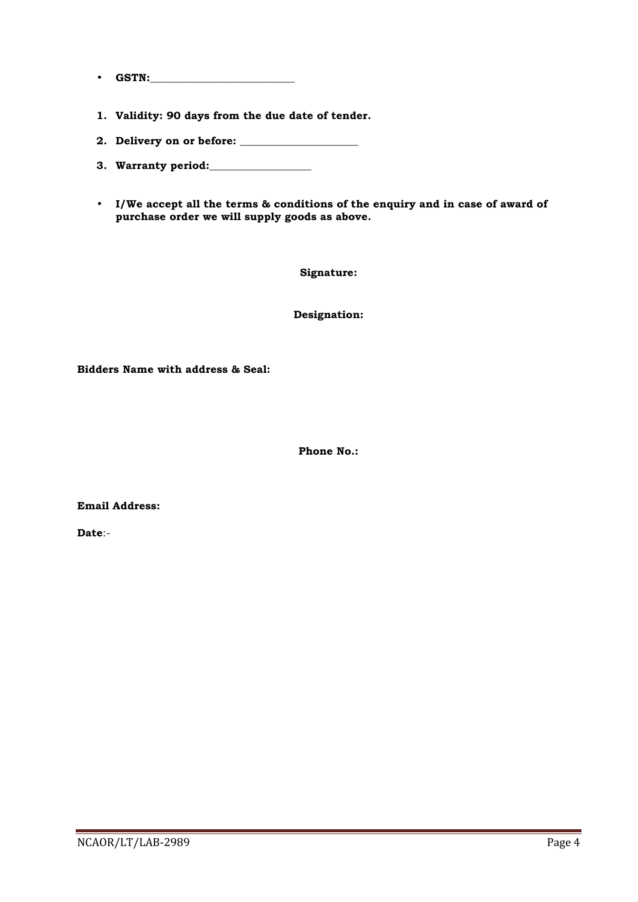- $\bullet$  **GSTN:**
- **1. Validity: 90 days from the due date of tender.**
- **2. Delivery on or before: \_\_\_\_\_\_\_\_\_\_\_\_\_\_\_\_\_\_\_\_\_\_**
- **3. Warranty period:\_\_\_\_\_\_\_\_\_\_\_\_\_\_\_\_\_\_\_**
- **I/We accept all the terms & conditions of the enquiry and in case of award of purchase order we will supply goods as above.**

**Signature:**

**Designation:**

**Bidders Name with address & Seal:**

**Phone No.:**

**Email Address:**

**Date**:-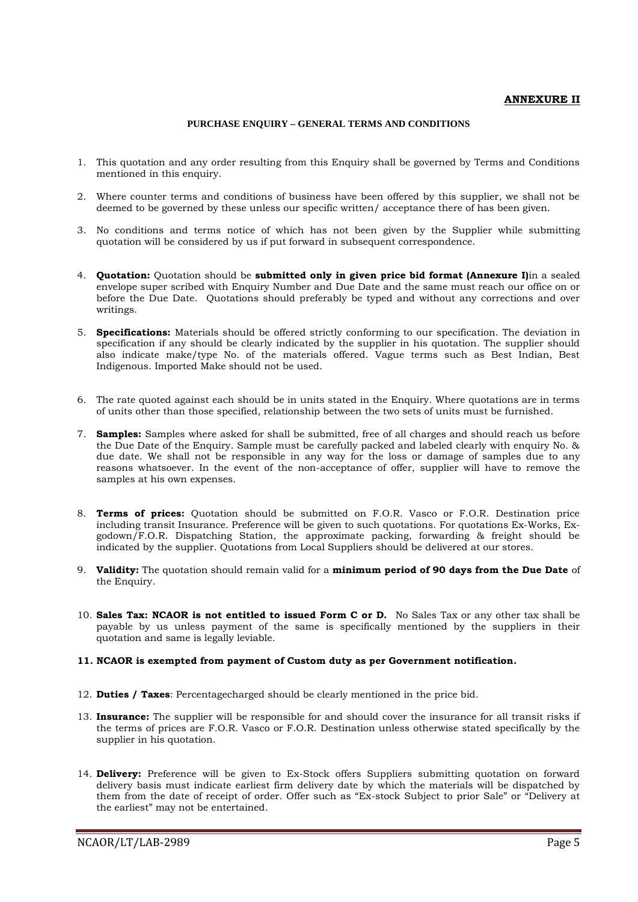#### **ANNEXURE II**

#### **PURCHASE ENQUIRY – GENERAL TERMS AND CONDITIONS**

- 1. This quotation and any order resulting from this Enquiry shall be governed by Terms and Conditions mentioned in this enquiry.
- 2. Where counter terms and conditions of business have been offered by this supplier, we shall not be deemed to be governed by these unless our specific written/ acceptance there of has been given.
- 3. No conditions and terms notice of which has not been given by the Supplier while submitting quotation will be considered by us if put forward in subsequent correspondence.
- 4. **Quotation:** Quotation should be **submitted only in given price bid format (Annexure I)**in a sealed envelope super scribed with Enquiry Number and Due Date and the same must reach our office on or before the Due Date. Quotations should preferably be typed and without any corrections and over writings.
- 5. **Specifications:** Materials should be offered strictly conforming to our specification. The deviation in specification if any should be clearly indicated by the supplier in his quotation. The supplier should also indicate make/type No. of the materials offered. Vague terms such as Best Indian, Best Indigenous. Imported Make should not be used.
- 6. The rate quoted against each should be in units stated in the Enquiry. Where quotations are in terms of units other than those specified, relationship between the two sets of units must be furnished.
- 7. **Samples:** Samples where asked for shall be submitted, free of all charges and should reach us before the Due Date of the Enquiry. Sample must be carefully packed and labeled clearly with enquiry No. & due date. We shall not be responsible in any way for the loss or damage of samples due to any reasons whatsoever. In the event of the non-acceptance of offer, supplier will have to remove the samples at his own expenses.
- 8. **Terms of prices:** Quotation should be submitted on F.O.R. Vasco or F.O.R. Destination price including transit Insurance. Preference will be given to such quotations. For quotations Ex-Works, Ex godown/F.O.R. Dispatching Station, the approximate packing, forwarding & freight should be indicated by the supplier. Quotations from Local Suppliers should be delivered at our stores.
- 9. **Validity:** The quotation should remain valid for a **minimum period of 90 days from the Due Date** of the Enquiry.
- 10. **Sales Tax: NCAOR is not entitled to issued Form C or D.** No Sales Tax or any other tax shall be payable by us unless payment of the same is specifically mentioned by the suppliers in their quotation and same is legally leviable.

#### **11. NCAOR is exempted from payment of Custom duty as per Government notification.**

- 12. **Duties / Taxes**: Percentagecharged should be clearly mentioned in the price bid.
- 13. **Insurance:** The supplier will be responsible for and should cover the insurance for all transit risks if the terms of prices are F.O.R. Vasco or F.O.R. Destination unless otherwise stated specifically by the supplier in his quotation.
- 14. **Delivery:** Preference will be given to Ex-Stock offers Suppliers submitting quotation on forward delivery basis must indicate earliest firm delivery date by which the materials will be dispatched by them from the date of receipt of order. Offer such as "Ex-stock Subject to prior Sale" or "Delivery at the earliest" may not be entertained.